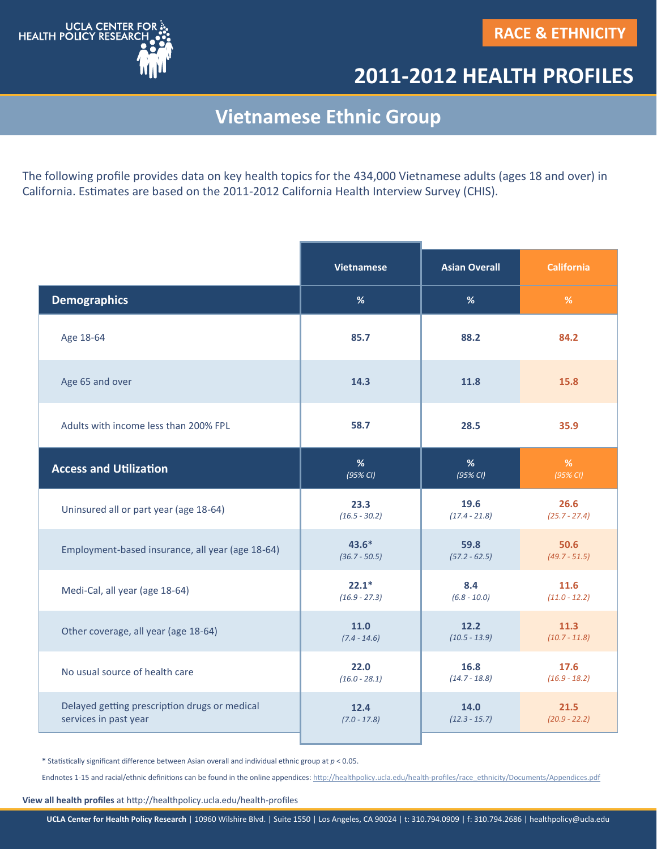

## **2011-2012 HEALTH PROFILES**

## **Vietnamese Ethnic Group**

The following profile provides data on key health topics for the 434,000 Vietnamese adults (ages 18 and over) in California. Estimates are based on the 2011-2012 California Health Interview Survey (CHIS).

|                                                  | <b>Vietnamese</b> | <b>Asian Overall</b> | <b>California</b> |
|--------------------------------------------------|-------------------|----------------------|-------------------|
| <b>Demographics</b>                              | %                 | %                    | $\%$              |
| Age 18-64                                        | 85.7              | 88.2                 | 84.2              |
| Age 65 and over                                  | 14.3              | 11.8                 | 15.8              |
| Adults with income less than 200% FPL            | 58.7              | 28.5                 | 35.9              |
| <b>Access and Utilization</b>                    | %                 | %                    | $\%$              |
|                                                  | (95% CI)          | $(95\%$ CI)          | (95% CI)          |
| Uninsured all or part year (age 18-64)           | 23.3              | 19.6                 | 26.6              |
|                                                  | $(16.5 - 30.2)$   | $(17.4 - 21.8)$      | $(25.7 - 27.4)$   |
| Employment-based insurance, all year (age 18-64) | $43.6*$           | 59.8                 | 50.6              |
|                                                  | $(36.7 - 50.5)$   | $(57.2 - 62.5)$      | $(49.7 - 51.5)$   |
| Medi-Cal, all year (age 18-64)                   | $22.1*$           | 8.4                  | 11.6              |
|                                                  | $(16.9 - 27.3)$   | $(6.8 - 10.0)$       | $(11.0 - 12.2)$   |
| Other coverage, all year (age 18-64)             | 11.0              | 12.2                 | 11.3              |
|                                                  | $(7.4 - 14.6)$    | $(10.5 - 13.9)$      | $(10.7 - 11.8)$   |
| No usual source of health care                   | 22.0              | 16.8                 | 17.6              |
|                                                  | $(16.0 - 28.1)$   | $(14.7 - 18.8)$      | $(16.9 - 18.2)$   |
| Delayed getting prescription drugs or medical    | 12.4              | 14.0                 | 21.5              |
| services in past year                            | $(7.0 - 17.8)$    | $(12.3 - 15.7)$      | $(20.9 - 22.2)$   |

**\*** Statistically significant difference between Asian overall and individual ethnic group at *p* < 0.05.

Endnotes 1-15 and racial/ethnic definitions can be found in the online appendices: http://healthpolicy.ucla.edu/health-[profiles/race\\_ethnicity/Documents/Appendices.pdf](http://healthpolicy.ucla.edu/health-profiles/race_ethnicity/Documents/Appendices.pdf)

**View all health profiles** at http://healthpolicy.ucla.edu/health-profiles